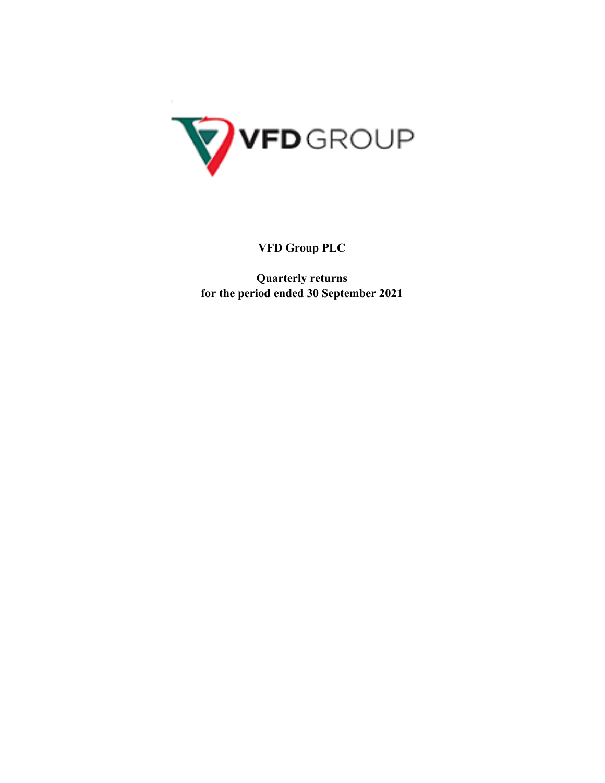

**VFD Group PLC**

**Quarterly returns for the period ended 30 September 2021**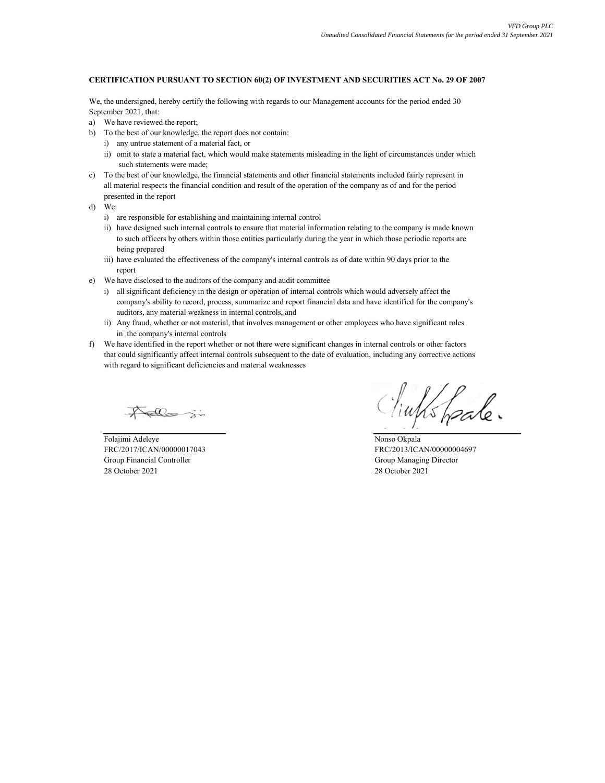#### **CERTIFICATION PURSUANT TO SECTION 60(2) OF INVESTMENT AND SECURITIES ACT No. 29 OF 2007**

We, the undersigned, hereby certify the following with regards to our Management accounts for the period ended 30 September 2021, that:

- a) We have reviewed the report;
- b) To the best of our knowledge, the report does not contain:
	- i) any untrue statement of a material fact, or
	- ii) omit to state a material fact, which would make statements misleading in the light of circumstances under which such statements were made;
- c) To the best of our knowledge, the financial statements and other financial statements included fairly represent in all material respects the financial condition and result of the operation of the company as of and for the period presented in the report
- d) We:
	- i) are responsible for establishing and maintaining internal control
	- ii) have designed such internal controls to ensure that material information relating to the company is made known to such officers by others within those entities particularly during the year in which those periodic reports are being prepared
	- iii) have evaluated the effectiveness of the company's internal controls as of date within 90 days prior to the report
- e) We have disclosed to the auditors of the company and audit committee
	- i) all significant deficiency in the design or operation of internal controls which would adversely affect the company's ability to record, process, summarize and report financial data and have identified for the company's auditors, any material weakness in internal controls, and
	- ii) Any fraud, whether or not material, that involves management or other employees who have significant roles in the company's internal controls
- f) We have identified in the report whether or not there were significant changes in internal controls or other factors that could significantly affect internal controls subsequent to the date of evaluation, including any corrective actions with regard to significant deficiencies and material weaknesses

Folajimi Adeleye Nonso Okpala FRC/2017/ICAN/00000017043 FRC/2013/ICAN/00000004697 Group Financial Controller Group Managing Director 28 October 2021 28 October 2021

links frale.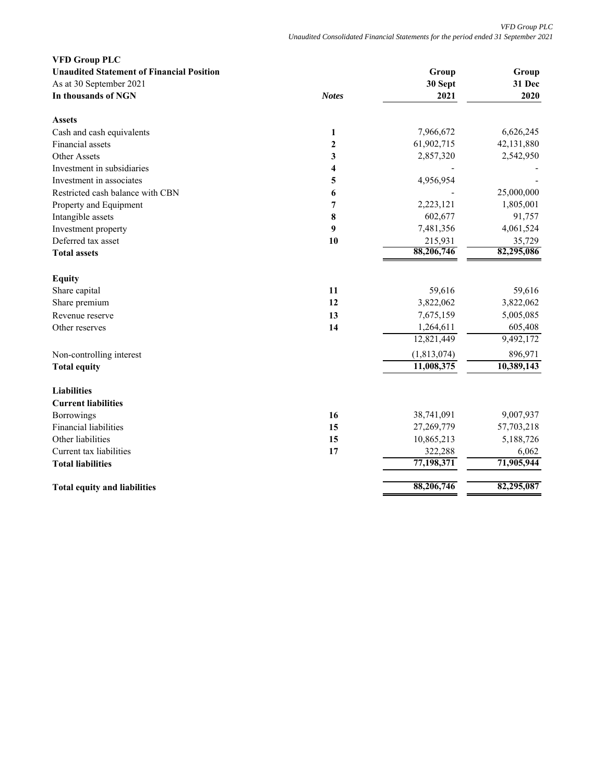| <b>VFD Group PLC</b>                             |              |             |            |
|--------------------------------------------------|--------------|-------------|------------|
| <b>Unaudited Statement of Financial Position</b> |              | Group       | Group      |
| As at 30 September 2021                          |              | 30 Sept     | 31 Dec     |
| In thousands of NGN                              | <b>Notes</b> | 2021        | 2020       |
| <b>Assets</b>                                    |              |             |            |
| Cash and cash equivalents                        | $\mathbf{1}$ | 7,966,672   | 6,626,245  |
| Financial assets                                 | $\mathbf{2}$ | 61,902,715  | 42,131,880 |
| Other Assets                                     | 3            | 2,857,320   | 2,542,950  |
| Investment in subsidiaries                       | 4            |             |            |
| Investment in associates                         | 5            | 4,956,954   |            |
| Restricted cash balance with CBN                 | 6            |             | 25,000,000 |
| Property and Equipment                           | 7            | 2,223,121   | 1,805,001  |
| Intangible assets                                | 8            | 602,677     | 91,757     |
| Investment property                              | 9            | 7,481,356   | 4,061,524  |
| Deferred tax asset                               | 10           | 215,931     | 35,729     |
| <b>Total assets</b>                              |              | 88,206,746  | 82,295,086 |
| <b>Equity</b>                                    |              |             |            |
| Share capital                                    | 11           | 59,616      | 59,616     |
| Share premium                                    | 12           | 3,822,062   | 3,822,062  |
| Revenue reserve                                  | 13           | 7,675,159   | 5,005,085  |
| Other reserves                                   | 14           | 1,264,611   | 605,408    |
|                                                  |              | 12,821,449  | 9,492,172  |
| Non-controlling interest                         |              | (1,813,074) | 896,971    |
| <b>Total equity</b>                              |              | 11,008,375  | 10,389,143 |
| <b>Liabilities</b>                               |              |             |            |
| <b>Current liabilities</b>                       |              |             |            |
| Borrowings                                       | 16           | 38,741,091  | 9,007,937  |
| <b>Financial liabilities</b>                     | 15           | 27,269,779  | 57,703,218 |
| Other liabilities                                | 15           | 10,865,213  | 5,188,726  |
| Current tax liabilities                          | 17           | 322,288     | 6,062      |
| <b>Total liabilities</b>                         |              | 77,198,371  | 71,905,944 |
| <b>Total equity and liabilities</b>              |              | 88,206,746  | 82,295,087 |
|                                                  |              |             |            |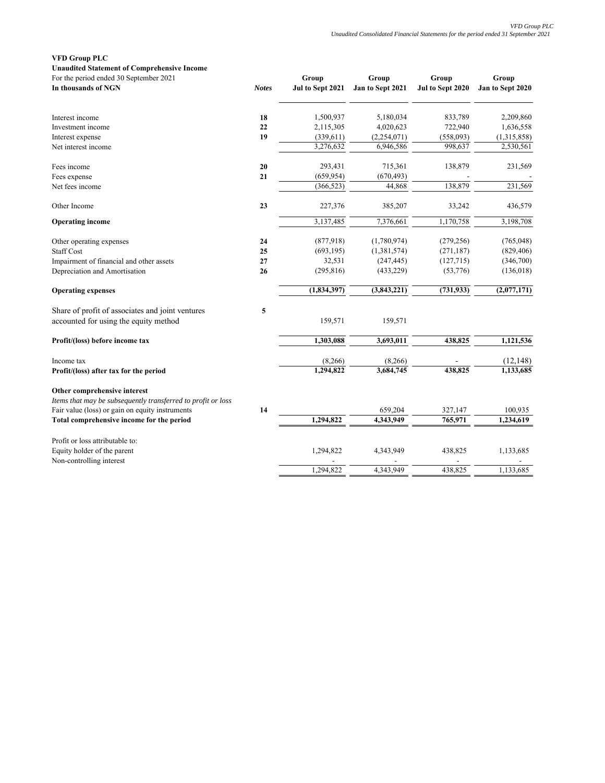## **VFD Group PLC**

**Unaudited Statement of Comprehensive Income**

| For the period ended 30 September 2021<br>In thousands of NGN                             | <b>Notes</b> | Group<br>Jul to Sept 2021 | Group<br>Jan to Sept 2021 | Group<br>Jul to Sept 2020 | Group<br>Jan to Sept 2020 |
|-------------------------------------------------------------------------------------------|--------------|---------------------------|---------------------------|---------------------------|---------------------------|
|                                                                                           |              |                           |                           |                           |                           |
| Interest income                                                                           | 18           | 1,500,937                 | 5,180,034                 | 833,789                   | 2,209,860                 |
| Investment income                                                                         | 22           | 2,115,305                 | 4,020,623                 | 722,940                   | 1,636,558                 |
| Interest expense                                                                          | 19           | (339, 611)                | (2,254,071)               | (558,093)                 | (1,315,858)               |
| Net interest income                                                                       |              | 3,276,632                 | 6,946,586                 | 998,637                   | 2,530,561                 |
| Fees income                                                                               | 20           | 293,431                   | 715,361                   | 138,879                   | 231,569                   |
| Fees expense                                                                              | 21           | (659, 954)                | (670, 493)                |                           |                           |
| Net fees income                                                                           |              | (366, 523)                | 44,868                    | 138,879                   | 231,569                   |
| Other Income                                                                              | 23           | 227,376                   | 385,207                   | 33,242                    | 436,579                   |
| <b>Operating income</b>                                                                   |              | 3,137,485                 | 7,376,661                 | 1,170,758                 | 3,198,708                 |
| Other operating expenses                                                                  | 24           | (877,918)                 | (1,780,974)               | (279, 256)                | (765, 048)                |
| <b>Staff Cost</b>                                                                         | 25           | (693, 195)                | (1,381,574)               | (271, 187)                | (829, 406)                |
| Impairment of financial and other assets                                                  | 27           | 32,531                    | (247, 445)                | (127, 715)                | (346,700)                 |
| Depreciation and Amortisation                                                             | 26           | (295, 816)                | (433, 229)                | (53,776)                  | (136,018)                 |
| <b>Operating expenses</b>                                                                 |              | (1, 834, 397)             | (3,843,221)               | (731, 933)                | (2,077,171)               |
| Share of profit of associates and joint ventures<br>accounted for using the equity method | 5            | 159,571                   | 159,571                   |                           |                           |
| Profit/(loss) before income tax                                                           |              | 1,303,088                 | 3,693,011                 | 438,825                   | 1,121,536                 |
| Income tax                                                                                |              | (8, 266)                  | (8,266)                   |                           | (12, 148)                 |
| Profit/(loss) after tax for the period                                                    |              | 1,294,822                 | 3,684,745                 | 438,825                   | 1,133,685                 |
| Other comprehensive interest                                                              |              |                           |                           |                           |                           |
| Items that may be subsequently transferred to profit or loss                              |              |                           |                           |                           |                           |
| Fair value (loss) or gain on equity instruments                                           | 14           |                           | 659,204                   | 327,147                   | 100,935                   |
| Total comprehensive income for the period                                                 |              | 1,294,822                 | 4,343,949                 | 765,971                   | 1,234,619                 |
| Profit or loss attributable to:                                                           |              |                           |                           |                           |                           |
| Equity holder of the parent                                                               |              | 1,294,822                 | 4,343,949                 | 438,825                   | 1,133,685                 |
| Non-controlling interest                                                                  |              | 1.294.822                 | 4,343,949                 | 438,825                   | 1,133,685                 |
|                                                                                           |              |                           |                           |                           |                           |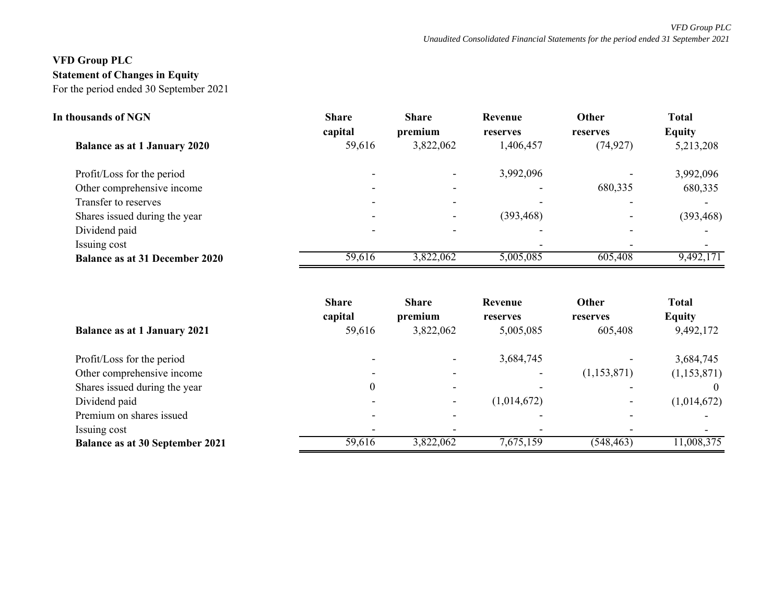# **VFD Group PLC Statement of Changes in Equity** For the period ended 30 September 2021

| In thousands of NGN                   | <b>Share</b> | <b>Share</b> | Revenue                  | Other                    | <b>Total</b>  |
|---------------------------------------|--------------|--------------|--------------------------|--------------------------|---------------|
|                                       | capital      | premium      | reserves                 | reserves                 | <b>Equity</b> |
| <b>Balance as at 1 January 2020</b>   | 59,616       | 3,822,062    | 1,406,457                | (74, 927)                | 5,213,208     |
| Profit/Loss for the period            |              |              | 3,992,096                |                          | 3,992,096     |
| Other comprehensive income            |              |              | $\overline{\phantom{a}}$ | 680,335                  | 680,335       |
| Transfer to reserves                  |              |              |                          |                          |               |
| Shares issued during the year         |              |              | (393, 468)               | $\overline{\phantom{0}}$ | (393, 468)    |
| Dividend paid                         |              |              |                          |                          |               |
| Issuing cost                          |              |              |                          |                          |               |
| <b>Balance as at 31 December 2020</b> | 59,616       | 3,822,062    | 5,005,085                | 605,408                  | 9,492,171     |

|                                        | <b>Share</b><br>capital  | <b>Share</b><br>premium | Revenue<br>reserves | Other<br>reserves | <b>Total</b><br><b>Equity</b> |
|----------------------------------------|--------------------------|-------------------------|---------------------|-------------------|-------------------------------|
| <b>Balance as at 1 January 2021</b>    | 59,616                   | 3,822,062               | 5,005,085           | 605,408           | 9,492,172                     |
| Profit/Loss for the period             |                          |                         | 3,684,745           |                   | 3,684,745                     |
| Other comprehensive income             | $\overline{\phantom{a}}$ |                         |                     | (1,153,871)       | (1,153,871)                   |
| Shares issued during the year          |                          |                         |                     |                   |                               |
| Dividend paid                          | $\overline{\phantom{a}}$ |                         | (1,014,672)         |                   | (1,014,672)                   |
| Premium on shares issued               | $\overline{\phantom{0}}$ |                         |                     |                   |                               |
| Issuing cost                           | $\overline{\phantom{0}}$ |                         |                     |                   |                               |
| <b>Balance as at 30 September 2021</b> | 59,616                   | 3,822,062               | 7,675,159           | (548, 463)        | 11,008,375                    |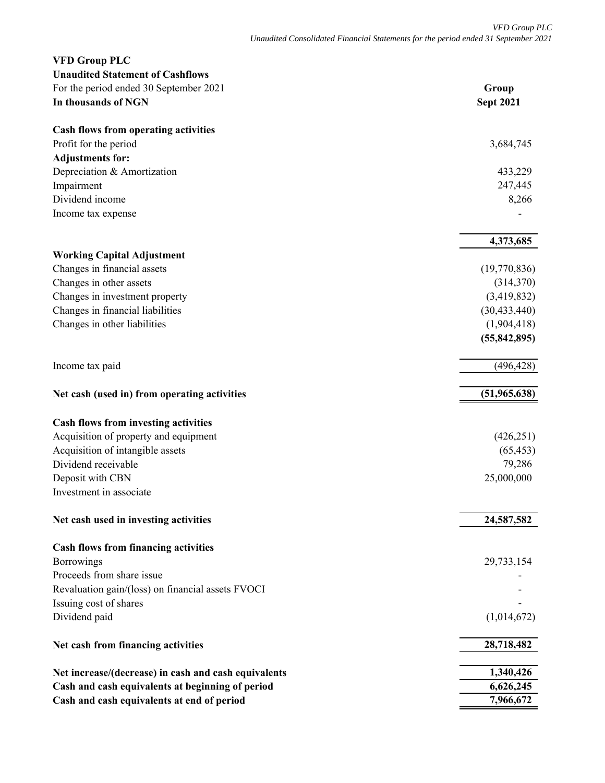| <b>VFD Group PLC</b>                                 |                  |
|------------------------------------------------------|------------------|
| <b>Unaudited Statement of Cashflows</b>              |                  |
| For the period ended 30 September 2021               | Group            |
| In thousands of NGN                                  | <b>Sept 2021</b> |
| <b>Cash flows from operating activities</b>          |                  |
| Profit for the period                                | 3,684,745        |
| <b>Adjustments for:</b>                              |                  |
| Depreciation & Amortization                          | 433,229          |
| Impairment                                           | 247,445          |
| Dividend income                                      | 8,266            |
| Income tax expense                                   |                  |
|                                                      | 4,373,685        |
| <b>Working Capital Adjustment</b>                    |                  |
| Changes in financial assets                          | (19,770,836)     |
| Changes in other assets                              | (314,370)        |
| Changes in investment property                       | (3,419,832)      |
| Changes in financial liabilities                     | (30, 433, 440)   |
| Changes in other liabilities                         | (1,904,418)      |
|                                                      | (55, 842, 895)   |
| Income tax paid                                      | (496, 428)       |
| Net cash (used in) from operating activities         | (51,965,638)     |
| Cash flows from investing activities                 |                  |
| Acquisition of property and equipment                | (426, 251)       |
| Acquisition of intangible assets                     | (65, 453)        |
| Dividend receivable                                  | 79,286           |
| Deposit with CBN                                     | 25,000,000       |
| Investment in associate                              |                  |
| Net cash used in investing activities                | 24,587,582       |
| <b>Cash flows from financing activities</b>          |                  |
| <b>Borrowings</b>                                    | 29,733,154       |
| Proceeds from share issue                            |                  |
| Revaluation gain/(loss) on financial assets FVOCI    |                  |
| Issuing cost of shares                               |                  |
| Dividend paid                                        | (1,014,672)      |
| Net cash from financing activities                   | 28,718,482       |
| Net increase/(decrease) in cash and cash equivalents | 1,340,426        |
| Cash and cash equivalents at beginning of period     | 6,626,245        |
| Cash and cash equivalents at end of period           | 7,966,672        |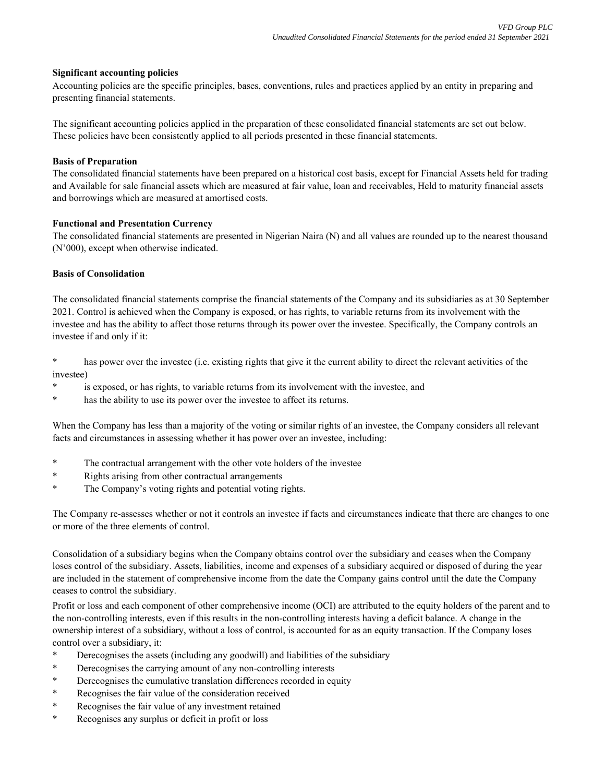# **Significant accounting policies**

Accounting policies are the specific principles, bases, conventions, rules and practices applied by an entity in preparing and presenting financial statements.

The significant accounting policies applied in the preparation of these consolidated financial statements are set out below. These policies have been consistently applied to all periods presented in these financial statements.

## **Basis of Preparation**

The consolidated financial statements have been prepared on a historical cost basis, except for Financial Assets held for trading and Available for sale financial assets which are measured at fair value, loan and receivables, Held to maturity financial assets and borrowings which are measured at amortised costs.

## **Functional and Presentation Currency**

The consolidated financial statements are presented in Nigerian Naira (N) and all values are rounded up to the nearest thousand (N'000), except when otherwise indicated.

## **Basis of Consolidation**

The consolidated financial statements comprise the financial statements of the Company and its subsidiaries as at 30 September 2021. Control is achieved when the Company is exposed, or has rights, to variable returns from its involvement with the investee and has the ability to affect those returns through its power over the investee. Specifically, the Company controls an investee if and only if it:

\* has power over the investee (i.e. existing rights that give it the current ability to direct the relevant activities of the investee)

- is exposed, or has rights, to variable returns from its involvement with the investee, and
- \* has the ability to use its power over the investee to affect its returns.

When the Company has less than a majority of the voting or similar rights of an investee, the Company considers all relevant facts and circumstances in assessing whether it has power over an investee, including:

- \* The contractual arrangement with the other vote holders of the investee
- \* Rights arising from other contractual arrangements
- \* The Company's voting rights and potential voting rights.

The Company re-assesses whether or not it controls an investee if facts and circumstances indicate that there are changes to one or more of the three elements of control.

Consolidation of a subsidiary begins when the Company obtains control over the subsidiary and ceases when the Company loses control of the subsidiary. Assets, liabilities, income and expenses of a subsidiary acquired or disposed of during the year are included in the statement of comprehensive income from the date the Company gains control until the date the Company ceases to control the subsidiary.

Profit or loss and each component of other comprehensive income (OCI) are attributed to the equity holders of the parent and to the non-controlling interests, even if this results in the non-controlling interests having a deficit balance. A change in the ownership interest of a subsidiary, without a loss of control, is accounted for as an equity transaction. If the Company loses control over a subsidiary, it:

- Derecognises the assets (including any goodwill) and liabilities of the subsidiary
- Derecognises the carrying amount of any non-controlling interests
- Derecognises the cumulative translation differences recorded in equity
- Recognises the fair value of the consideration received
- Recognises the fair value of any investment retained
- Recognises any surplus or deficit in profit or loss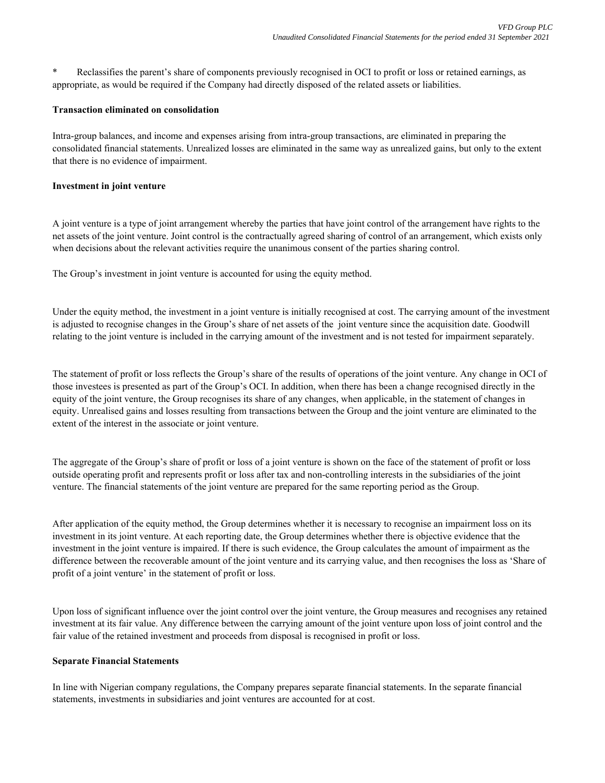Reclassifies the parent's share of components previously recognised in OCI to profit or loss or retained earnings, as appropriate, as would be required if the Company had directly disposed of the related assets or liabilities.

#### **Transaction eliminated on consolidation**

Intra-group balances, and income and expenses arising from intra-group transactions, are eliminated in preparing the consolidated financial statements. Unrealized losses are eliminated in the same way as unrealized gains, but only to the extent that there is no evidence of impairment.

## **Investment in joint venture**

A joint venture is a type of joint arrangement whereby the parties that have joint control of the arrangement have rights to the net assets of the joint venture. Joint control is the contractually agreed sharing of control of an arrangement, which exists only when decisions about the relevant activities require the unanimous consent of the parties sharing control.

The Group's investment in joint venture is accounted for using the equity method.

Under the equity method, the investment in a joint venture is initially recognised at cost. The carrying amount of the investment is adjusted to recognise changes in the Group's share of net assets of the joint venture since the acquisition date. Goodwill relating to the joint venture is included in the carrying amount of the investment and is not tested for impairment separately.

The statement of profit or loss reflects the Group's share of the results of operations of the joint venture. Any change in OCI of those investees is presented as part of the Group's OCI. In addition, when there has been a change recognised directly in the equity of the joint venture, the Group recognises its share of any changes, when applicable, in the statement of changes in equity. Unrealised gains and losses resulting from transactions between the Group and the joint venture are eliminated to the extent of the interest in the associate or joint venture.

The aggregate of the Group's share of profit or loss of a joint venture is shown on the face of the statement of profit or loss outside operating profit and represents profit or loss after tax and non-controlling interests in the subsidiaries of the joint venture. The financial statements of the joint venture are prepared for the same reporting period as the Group.

After application of the equity method, the Group determines whether it is necessary to recognise an impairment loss on its investment in its joint venture. At each reporting date, the Group determines whether there is objective evidence that the investment in the joint venture is impaired. If there is such evidence, the Group calculates the amount of impairment as the difference between the recoverable amount of the joint venture and its carrying value, and then recognises the loss as 'Share of profit of a joint venture' in the statement of profit or loss.

Upon loss of significant influence over the joint control over the joint venture, the Group measures and recognises any retained investment at its fair value. Any difference between the carrying amount of the joint venture upon loss of joint control and the fair value of the retained investment and proceeds from disposal is recognised in profit or loss.

#### **Separate Financial Statements**

In line with Nigerian company regulations, the Company prepares separate financial statements. In the separate financial statements, investments in subsidiaries and joint ventures are accounted for at cost.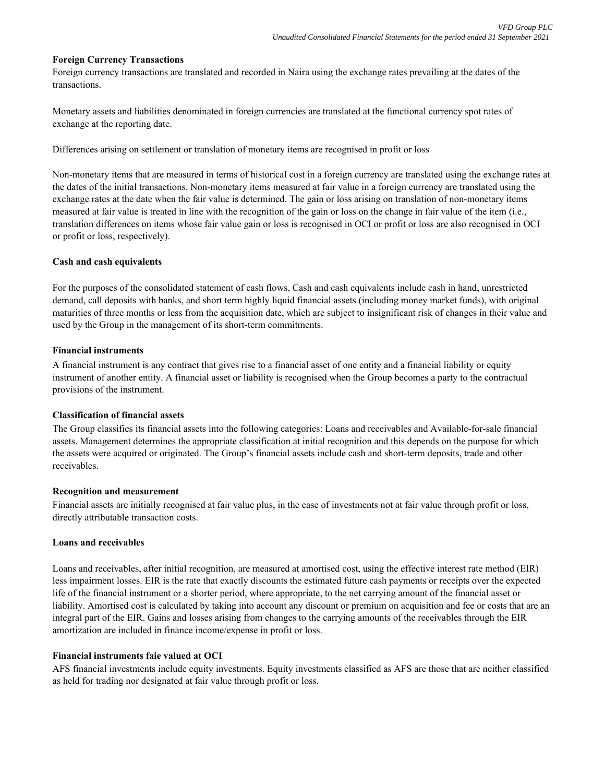## **Foreign Currency Transactions**

Foreign currency transactions are translated and recorded in Naira using the exchange rates prevailing at the dates of the transactions.

Monetary assets and liabilities denominated in foreign currencies are translated at the functional currency spot rates of exchange at the reporting date.

Differences arising on settlement or translation of monetary items are recognised in profit or loss

Non-monetary items that are measured in terms of historical cost in a foreign currency are translated using the exchange rates at the dates of the initial transactions. Non-monetary items measured at fair value in a foreign currency are translated using the exchange rates at the date when the fair value is determined. The gain or loss arising on translation of non-monetary items measured at fair value is treated in line with the recognition of the gain or loss on the change in fair value of the item (i.e., translation differences on items whose fair value gain or loss is recognised in OCI or profit or loss are also recognised in OCI or profit or loss, respectively).

# **Cash and cash equivalents**

For the purposes of the consolidated statement of cash flows, Cash and cash equivalents include cash in hand, unrestricted demand, call deposits with banks, and short term highly liquid financial assets (including money market funds), with original maturities of three months or less from the acquisition date, which are subject to insignificant risk of changes in their value and used by the Group in the management of its short-term commitments.

## **Financial instruments**

A financial instrument is any contract that gives rise to a financial asset of one entity and a financial liability or equity instrument of another entity. A financial asset or liability is recognised when the Group becomes a party to the contractual provisions of the instrument.

# **Classification of financial assets**

The Group classifies its financial assets into the following categories: Loans and receivables and Available-for-sale financial assets. Management determines the appropriate classification at initial recognition and this depends on the purpose for which the assets were acquired or originated. The Group's financial assets include cash and short-term deposits, trade and other receivables.

#### **Recognition and measurement**

Financial assets are initially recognised at fair value plus, in the case of investments not at fair value through profit or loss, directly attributable transaction costs.

# **Loans and receivables**

Loans and receivables, after initial recognition, are measured at amortised cost, using the effective interest rate method (EIR) less impairment losses. EIR is the rate that exactly discounts the estimated future cash payments or receipts over the expected life of the financial instrument or a shorter period, where appropriate, to the net carrying amount of the financial asset or liability. Amortised cost is calculated by taking into account any discount or premium on acquisition and fee or costs that are an integral part of the EIR. Gains and losses arising from changes to the carrying amounts of the receivables through the EIR amortization are included in finance income/expense in profit or loss.

# **Financial instruments faie valued at OCI**

AFS financial investments include equity investments. Equity investments classified as AFS are those that are neither classified as held for trading nor designated at fair value through profit or loss.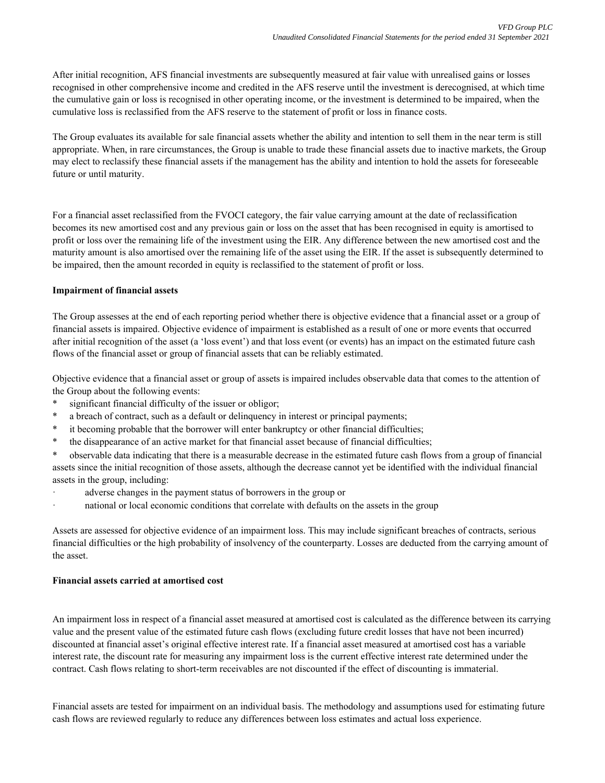After initial recognition, AFS financial investments are subsequently measured at fair value with unrealised gains or losses recognised in other comprehensive income and credited in the AFS reserve until the investment is derecognised, at which time the cumulative gain or loss is recognised in other operating income, or the investment is determined to be impaired, when the cumulative loss is reclassified from the AFS reserve to the statement of profit or loss in finance costs.

The Group evaluates its available for sale financial assets whether the ability and intention to sell them in the near term is still appropriate. When, in rare circumstances, the Group is unable to trade these financial assets due to inactive markets, the Group may elect to reclassify these financial assets if the management has the ability and intention to hold the assets for foreseeable future or until maturity.

For a financial asset reclassified from the FVOCI category, the fair value carrying amount at the date of reclassification becomes its new amortised cost and any previous gain or loss on the asset that has been recognised in equity is amortised to profit or loss over the remaining life of the investment using the EIR. Any difference between the new amortised cost and the maturity amount is also amortised over the remaining life of the asset using the EIR. If the asset is subsequently determined to be impaired, then the amount recorded in equity is reclassified to the statement of profit or loss.

# **Impairment of financial assets**

The Group assesses at the end of each reporting period whether there is objective evidence that a financial asset or a group of financial assets is impaired. Objective evidence of impairment is established as a result of one or more events that occurred after initial recognition of the asset (a 'loss event') and that loss event (or events) has an impact on the estimated future cash flows of the financial asset or group of financial assets that can be reliably estimated.

Objective evidence that a financial asset or group of assets is impaired includes observable data that comes to the attention of the Group about the following events:

- \* significant financial difficulty of the issuer or obligor;
- a breach of contract, such as a default or delinquency in interest or principal payments;
- \* it becoming probable that the borrower will enter bankruptcy or other financial difficulties;
- \* the disappearance of an active market for that financial asset because of financial difficulties;

\* observable data indicating that there is a measurable decrease in the estimated future cash flows from a group of financial assets since the initial recognition of those assets, although the decrease cannot yet be identified with the individual financial assets in the group, including:

- ꞏ adverse changes in the payment status of borrowers in the group or
- ꞏ national or local economic conditions that correlate with defaults on the assets in the group

Assets are assessed for objective evidence of an impairment loss. This may include significant breaches of contracts, serious financial difficulties or the high probability of insolvency of the counterparty. Losses are deducted from the carrying amount of the asset.

## **Financial assets carried at amortised cost**

An impairment loss in respect of a financial asset measured at amortised cost is calculated as the difference between its carrying value and the present value of the estimated future cash flows (excluding future credit losses that have not been incurred) discounted at financial asset's original effective interest rate. If a financial asset measured at amortised cost has a variable interest rate, the discount rate for measuring any impairment loss is the current effective interest rate determined under the contract. Cash flows relating to short-term receivables are not discounted if the effect of discounting is immaterial.

Financial assets are tested for impairment on an individual basis. The methodology and assumptions used for estimating future cash flows are reviewed regularly to reduce any differences between loss estimates and actual loss experience.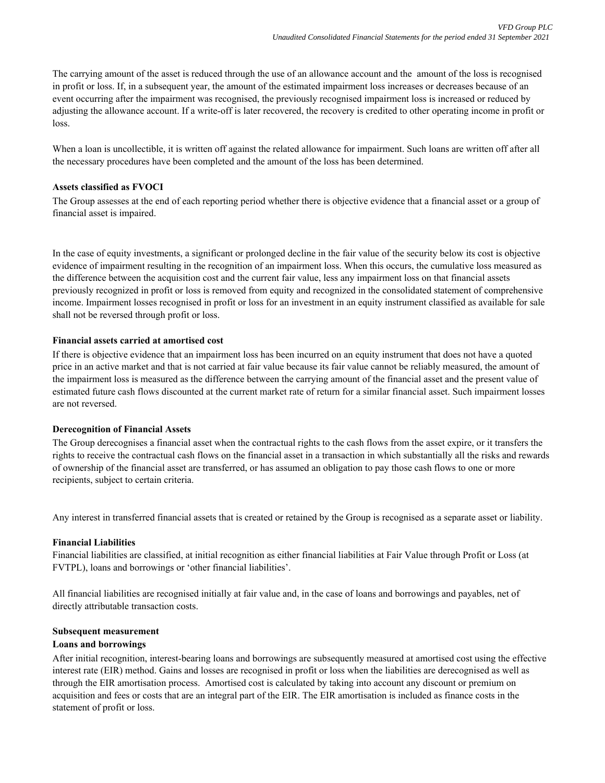The carrying amount of the asset is reduced through the use of an allowance account and the amount of the loss is recognised in profit or loss. If, in a subsequent year, the amount of the estimated impairment loss increases or decreases because of an event occurring after the impairment was recognised, the previously recognised impairment loss is increased or reduced by adjusting the allowance account. If a write-off is later recovered, the recovery is credited to other operating income in profit or loss.

When a loan is uncollectible, it is written off against the related allowance for impairment. Such loans are written off after all the necessary procedures have been completed and the amount of the loss has been determined.

# **Assets classified as FVOCI**

The Group assesses at the end of each reporting period whether there is objective evidence that a financial asset or a group of financial asset is impaired.

In the case of equity investments, a significant or prolonged decline in the fair value of the security below its cost is objective evidence of impairment resulting in the recognition of an impairment loss. When this occurs, the cumulative loss measured as the difference between the acquisition cost and the current fair value, less any impairment loss on that financial assets previously recognized in profit or loss is removed from equity and recognized in the consolidated statement of comprehensive income. Impairment losses recognised in profit or loss for an investment in an equity instrument classified as available for sale shall not be reversed through profit or loss.

## **Financial assets carried at amortised cost**

If there is objective evidence that an impairment loss has been incurred on an equity instrument that does not have a quoted price in an active market and that is not carried at fair value because its fair value cannot be reliably measured, the amount of the impairment loss is measured as the difference between the carrying amount of the financial asset and the present value of estimated future cash flows discounted at the current market rate of return for a similar financial asset. Such impairment losses are not reversed.

#### **Derecognition of Financial Assets**

The Group derecognises a financial asset when the contractual rights to the cash flows from the asset expire, or it transfers the rights to receive the contractual cash flows on the financial asset in a transaction in which substantially all the risks and rewards of ownership of the financial asset are transferred, or has assumed an obligation to pay those cash flows to one or more recipients, subject to certain criteria.

Any interest in transferred financial assets that is created or retained by the Group is recognised as a separate asset or liability.

#### **Financial Liabilities**

Financial liabilities are classified, at initial recognition as either financial liabilities at Fair Value through Profit or Loss (at FVTPL), loans and borrowings or 'other financial liabilities'.

All financial liabilities are recognised initially at fair value and, in the case of loans and borrowings and payables, net of directly attributable transaction costs.

#### **Subsequent measurement**

#### **Loans and borrowings**

After initial recognition, interest-bearing loans and borrowings are subsequently measured at amortised cost using the effective interest rate (EIR) method. Gains and losses are recognised in profit or loss when the liabilities are derecognised as well as through the EIR amortisation process. Amortised cost is calculated by taking into account any discount or premium on acquisition and fees or costs that are an integral part of the EIR. The EIR amortisation is included as finance costs in the statement of profit or loss.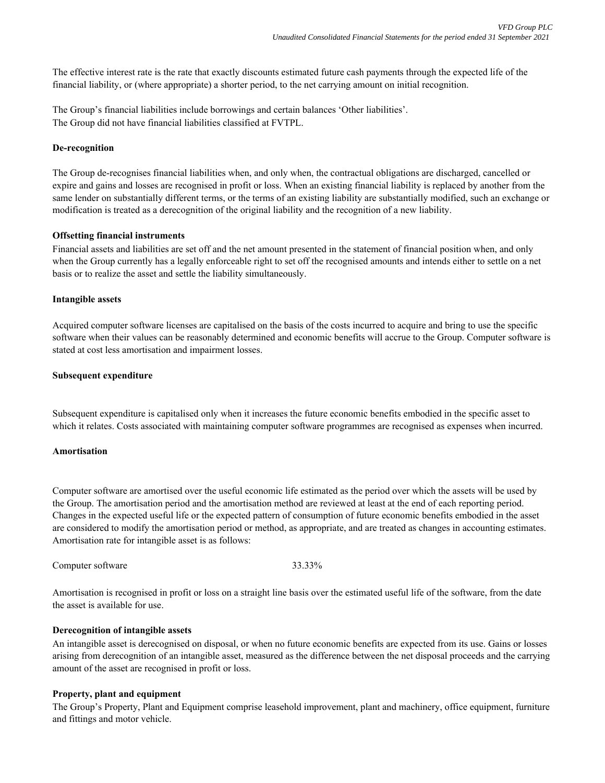The effective interest rate is the rate that exactly discounts estimated future cash payments through the expected life of the financial liability, or (where appropriate) a shorter period, to the net carrying amount on initial recognition.

The Group's financial liabilities include borrowings and certain balances 'Other liabilities'. The Group did not have financial liabilities classified at FVTPL.

#### **De-recognition**

The Group de-recognises financial liabilities when, and only when, the contractual obligations are discharged, cancelled or expire and gains and losses are recognised in profit or loss. When an existing financial liability is replaced by another from the same lender on substantially different terms, or the terms of an existing liability are substantially modified, such an exchange or modification is treated as a derecognition of the original liability and the recognition of a new liability.

## **Offsetting financial instruments**

Financial assets and liabilities are set off and the net amount presented in the statement of financial position when, and only when the Group currently has a legally enforceable right to set off the recognised amounts and intends either to settle on a net basis or to realize the asset and settle the liability simultaneously.

## **Intangible assets**

Acquired computer software licenses are capitalised on the basis of the costs incurred to acquire and bring to use the specific software when their values can be reasonably determined and economic benefits will accrue to the Group. Computer software is stated at cost less amortisation and impairment losses.

## **Subsequent expenditure**

Subsequent expenditure is capitalised only when it increases the future economic benefits embodied in the specific asset to which it relates. Costs associated with maintaining computer software programmes are recognised as expenses when incurred.

# **Amortisation**

Computer software are amortised over the useful economic life estimated as the period over which the assets will be used by the Group. The amortisation period and the amortisation method are reviewed at least at the end of each reporting period. Changes in the expected useful life or the expected pattern of consumption of future economic benefits embodied in the asset are considered to modify the amortisation period or method, as appropriate, and are treated as changes in accounting estimates. Amortisation rate for intangible asset is as follows:

Computer software 33.33%

Amortisation is recognised in profit or loss on a straight line basis over the estimated useful life of the software, from the date the asset is available for use.

#### **Derecognition of intangible assets**

An intangible asset is derecognised on disposal, or when no future economic benefits are expected from its use. Gains or losses arising from derecognition of an intangible asset, measured as the difference between the net disposal proceeds and the carrying amount of the asset are recognised in profit or loss.

# **Property, plant and equipment**

The Group's Property, Plant and Equipment comprise leasehold improvement, plant and machinery, office equipment, furniture and fittings and motor vehicle.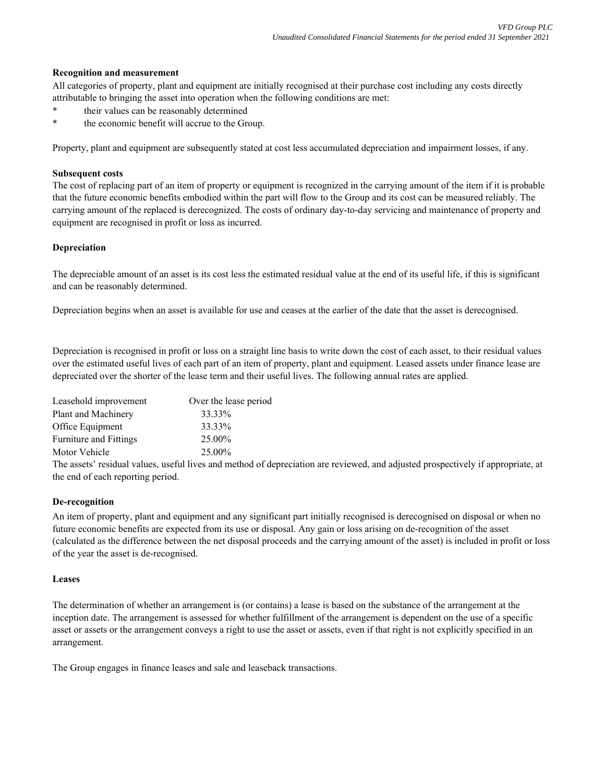## **Recognition and measurement**

All categories of property, plant and equipment are initially recognised at their purchase cost including any costs directly attributable to bringing the asset into operation when the following conditions are met:

- their values can be reasonably determined
- \* the economic benefit will accrue to the Group.

Property, plant and equipment are subsequently stated at cost less accumulated depreciation and impairment losses, if any.

# **Subsequent costs**

The cost of replacing part of an item of property or equipment is recognized in the carrying amount of the item if it is probable that the future economic benefits embodied within the part will flow to the Group and its cost can be measured reliably. The carrying amount of the replaced is derecognized. The costs of ordinary day-to-day servicing and maintenance of property and equipment are recognised in profit or loss as incurred.

# **Depreciation**

The depreciable amount of an asset is its cost less the estimated residual value at the end of its useful life, if this is significant and can be reasonably determined.

Depreciation begins when an asset is available for use and ceases at the earlier of the date that the asset is derecognised.

Depreciation is recognised in profit or loss on a straight line basis to write down the cost of each asset, to their residual values over the estimated useful lives of each part of an item of property, plant and equipment. Leased assets under finance lease are depreciated over the shorter of the lease term and their useful lives. The following annual rates are applied.

| Over the lease period |
|-----------------------|
| 33.33%                |
| 33.33%                |
| 25.00%                |
| 25.00%                |
|                       |

The assets' residual values, useful lives and method of depreciation are reviewed, and adjusted prospectively if appropriate, at the end of each reporting period.

# **De-recognition**

An item of property, plant and equipment and any significant part initially recognised is derecognised on disposal or when no future economic benefits are expected from its use or disposal. Any gain or loss arising on de-recognition of the asset (calculated as the difference between the net disposal proceeds and the carrying amount of the asset) is included in profit or loss of the year the asset is de-recognised.

# **Leases**

The determination of whether an arrangement is (or contains) a lease is based on the substance of the arrangement at the inception date. The arrangement is assessed for whether fulfillment of the arrangement is dependent on the use of a specific asset or assets or the arrangement conveys a right to use the asset or assets, even if that right is not explicitly specified in an arrangement.

The Group engages in finance leases and sale and leaseback transactions.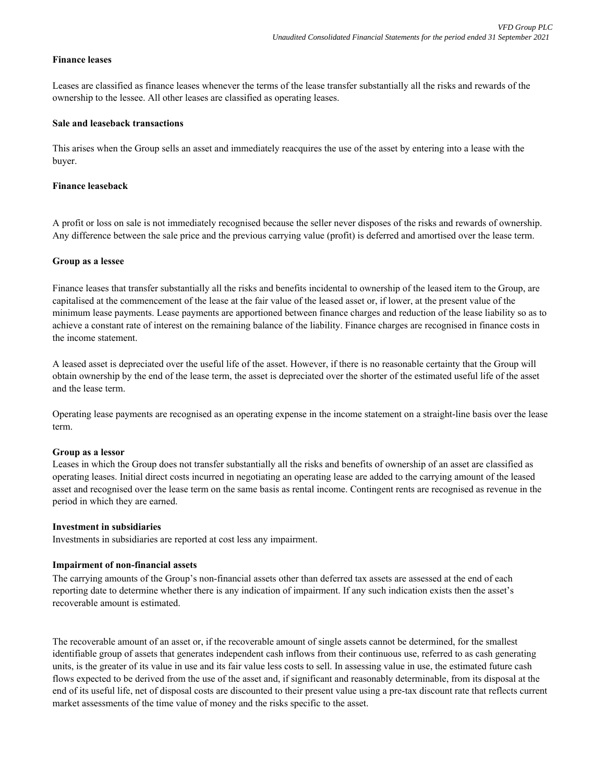# **Finance leases**

Leases are classified as finance leases whenever the terms of the lease transfer substantially all the risks and rewards of the ownership to the lessee. All other leases are classified as operating leases.

#### **Sale and leaseback transactions**

This arises when the Group sells an asset and immediately reacquires the use of the asset by entering into a lease with the buyer.

## **Finance leaseback**

A profit or loss on sale is not immediately recognised because the seller never disposes of the risks and rewards of ownership. Any difference between the sale price and the previous carrying value (profit) is deferred and amortised over the lease term.

#### **Group as a lessee**

Finance leases that transfer substantially all the risks and benefits incidental to ownership of the leased item to the Group, are capitalised at the commencement of the lease at the fair value of the leased asset or, if lower, at the present value of the minimum lease payments. Lease payments are apportioned between finance charges and reduction of the lease liability so as to achieve a constant rate of interest on the remaining balance of the liability. Finance charges are recognised in finance costs in the income statement.

A leased asset is depreciated over the useful life of the asset. However, if there is no reasonable certainty that the Group will obtain ownership by the end of the lease term, the asset is depreciated over the shorter of the estimated useful life of the asset and the lease term.

Operating lease payments are recognised as an operating expense in the income statement on a straight-line basis over the lease term.

#### **Group as a lessor**

Leases in which the Group does not transfer substantially all the risks and benefits of ownership of an asset are classified as operating leases. Initial direct costs incurred in negotiating an operating lease are added to the carrying amount of the leased asset and recognised over the lease term on the same basis as rental income. Contingent rents are recognised as revenue in the period in which they are earned.

#### **Investment in subsidiaries**

Investments in subsidiaries are reported at cost less any impairment.

#### **Impairment of non-financial assets**

The carrying amounts of the Group's non-financial assets other than deferred tax assets are assessed at the end of each reporting date to determine whether there is any indication of impairment. If any such indication exists then the asset's recoverable amount is estimated.

The recoverable amount of an asset or, if the recoverable amount of single assets cannot be determined, for the smallest identifiable group of assets that generates independent cash inflows from their continuous use, referred to as cash generating units, is the greater of its value in use and its fair value less costs to sell. In assessing value in use, the estimated future cash flows expected to be derived from the use of the asset and, if significant and reasonably determinable, from its disposal at the end of its useful life, net of disposal costs are discounted to their present value using a pre-tax discount rate that reflects current market assessments of the time value of money and the risks specific to the asset.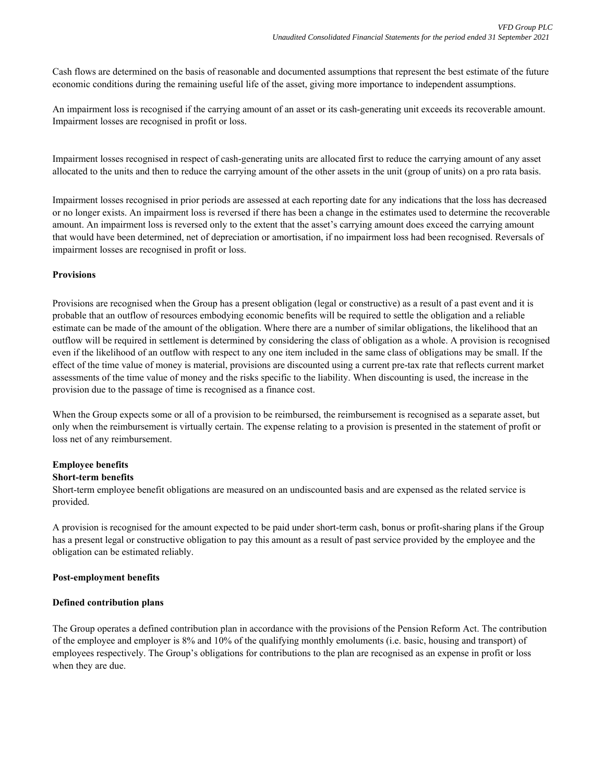Cash flows are determined on the basis of reasonable and documented assumptions that represent the best estimate of the future economic conditions during the remaining useful life of the asset, giving more importance to independent assumptions.

An impairment loss is recognised if the carrying amount of an asset or its cash-generating unit exceeds its recoverable amount. Impairment losses are recognised in profit or loss.

Impairment losses recognised in respect of cash-generating units are allocated first to reduce the carrying amount of any asset allocated to the units and then to reduce the carrying amount of the other assets in the unit (group of units) on a pro rata basis.

Impairment losses recognised in prior periods are assessed at each reporting date for any indications that the loss has decreased or no longer exists. An impairment loss is reversed if there has been a change in the estimates used to determine the recoverable amount. An impairment loss is reversed only to the extent that the asset's carrying amount does exceed the carrying amount that would have been determined, net of depreciation or amortisation, if no impairment loss had been recognised. Reversals of impairment losses are recognised in profit or loss.

# **Provisions**

Provisions are recognised when the Group has a present obligation (legal or constructive) as a result of a past event and it is probable that an outflow of resources embodying economic benefits will be required to settle the obligation and a reliable estimate can be made of the amount of the obligation. Where there are a number of similar obligations, the likelihood that an outflow will be required in settlement is determined by considering the class of obligation as a whole. A provision is recognised even if the likelihood of an outflow with respect to any one item included in the same class of obligations may be small. If the effect of the time value of money is material, provisions are discounted using a current pre-tax rate that reflects current market assessments of the time value of money and the risks specific to the liability. When discounting is used, the increase in the provision due to the passage of time is recognised as a finance cost.

When the Group expects some or all of a provision to be reimbursed, the reimbursement is recognised as a separate asset, but only when the reimbursement is virtually certain. The expense relating to a provision is presented in the statement of profit or loss net of any reimbursement.

# **Employee benefits**

# **Short-term benefits**

Short-term employee benefit obligations are measured on an undiscounted basis and are expensed as the related service is provided.

A provision is recognised for the amount expected to be paid under short-term cash, bonus or profit-sharing plans if the Group has a present legal or constructive obligation to pay this amount as a result of past service provided by the employee and the obligation can be estimated reliably.

# **Post-employment benefits**

# **Defined contribution plans**

The Group operates a defined contribution plan in accordance with the provisions of the Pension Reform Act. The contribution of the employee and employer is 8% and 10% of the qualifying monthly emoluments (i.e. basic, housing and transport) of employees respectively. The Group's obligations for contributions to the plan are recognised as an expense in profit or loss when they are due.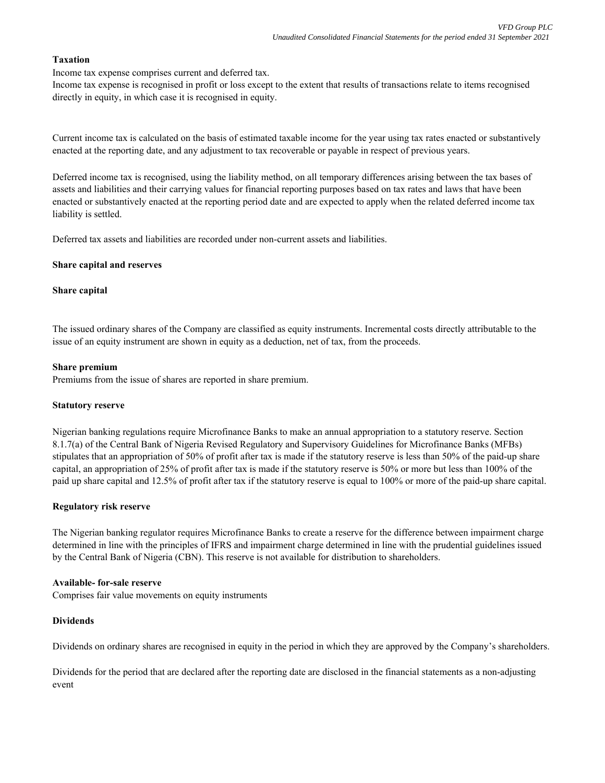# **Taxation**

Income tax expense comprises current and deferred tax.

Income tax expense is recognised in profit or loss except to the extent that results of transactions relate to items recognised directly in equity, in which case it is recognised in equity.

Current income tax is calculated on the basis of estimated taxable income for the year using tax rates enacted or substantively enacted at the reporting date, and any adjustment to tax recoverable or payable in respect of previous years.

Deferred income tax is recognised, using the liability method, on all temporary differences arising between the tax bases of assets and liabilities and their carrying values for financial reporting purposes based on tax rates and laws that have been enacted or substantively enacted at the reporting period date and are expected to apply when the related deferred income tax liability is settled.

Deferred tax assets and liabilities are recorded under non-current assets and liabilities.

## **Share capital and reserves**

## **Share capital**

The issued ordinary shares of the Company are classified as equity instruments. Incremental costs directly attributable to the issue of an equity instrument are shown in equity as a deduction, net of tax, from the proceeds.

#### **Share premium**

Premiums from the issue of shares are reported in share premium.

#### **Statutory reserve**

Nigerian banking regulations require Microfinance Banks to make an annual appropriation to a statutory reserve. Section 8.1.7(a) of the Central Bank of Nigeria Revised Regulatory and Supervisory Guidelines for Microfinance Banks (MFBs) stipulates that an appropriation of 50% of profit after tax is made if the statutory reserve is less than 50% of the paid-up share capital, an appropriation of 25% of profit after tax is made if the statutory reserve is 50% or more but less than 100% of the paid up share capital and 12.5% of profit after tax if the statutory reserve is equal to 100% or more of the paid-up share capital.

#### **Regulatory risk reserve**

The Nigerian banking regulator requires Microfinance Banks to create a reserve for the difference between impairment charge determined in line with the principles of IFRS and impairment charge determined in line with the prudential guidelines issued by the Central Bank of Nigeria (CBN). This reserve is not available for distribution to shareholders.

#### **Available- for-sale reserve**

Comprises fair value movements on equity instruments

#### **Dividends**

Dividends on ordinary shares are recognised in equity in the period in which they are approved by the Company's shareholders.

Dividends for the period that are declared after the reporting date are disclosed in the financial statements as a non-adjusting event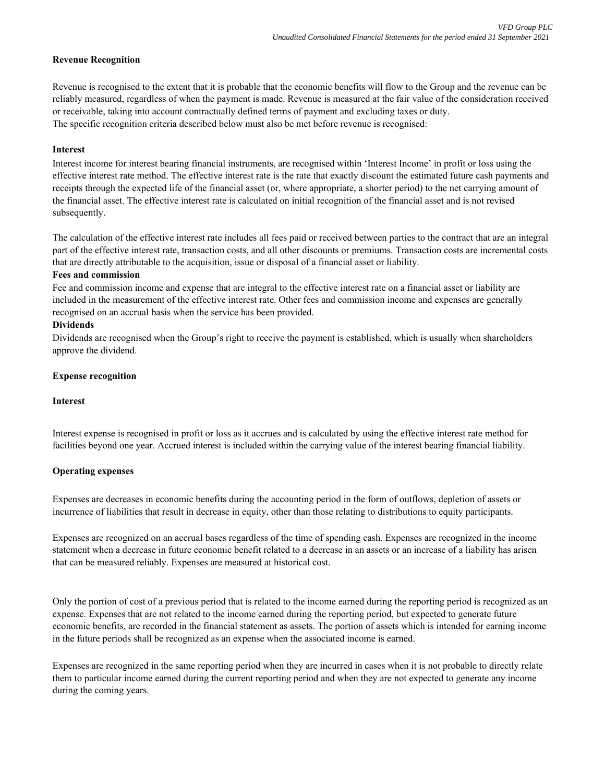# **Revenue Recognition**

The specific recognition criteria described below must also be met before revenue is recognised: Revenue is recognised to the extent that it is probable that the economic benefits will flow to the Group and the revenue can be reliably measured, regardless of when the payment is made. Revenue is measured at the fair value of the consideration received or receivable, taking into account contractually defined terms of payment and excluding taxes or duty.

# **Interest**

Interest income for interest bearing financial instruments, are recognised within 'Interest Income' in profit or loss using the effective interest rate method. The effective interest rate is the rate that exactly discount the estimated future cash payments and receipts through the expected life of the financial asset (or, where appropriate, a shorter period) to the net carrying amount of the financial asset. The effective interest rate is calculated on initial recognition of the financial asset and is not revised subsequently.

The calculation of the effective interest rate includes all fees paid or received between parties to the contract that are an integral part of the effective interest rate, transaction costs, and all other discounts or premiums. Transaction costs are incremental costs that are directly attributable to the acquisition, issue or disposal of a financial asset or liability.

## **Fees and commission**

Fee and commission income and expense that are integral to the effective interest rate on a financial asset or liability are included in the measurement of the effective interest rate. Other fees and commission income and expenses are generally recognised on an accrual basis when the service has been provided.

# **Dividends**

Dividends are recognised when the Group's right to receive the payment is established, which is usually when shareholders approve the dividend.

# **Expense recognition**

#### **Interest**

Interest expense is recognised in profit or loss as it accrues and is calculated by using the effective interest rate method for facilities beyond one year. Accrued interest is included within the carrying value of the interest bearing financial liability.

# **Operating expenses**

Expenses are decreases in economic benefits during the accounting period in the form of outflows, depletion of assets or incurrence of liabilities that result in decrease in equity, other than those relating to distributions to equity participants.

Expenses are recognized on an accrual bases regardless of the time of spending cash. Expenses are recognized in the income statement when a decrease in future economic benefit related to a decrease in an assets or an increase of a liability has arisen that can be measured reliably. Expenses are measured at historical cost.

Only the portion of cost of a previous period that is related to the income earned during the reporting period is recognized as an expense. Expenses that are not related to the income earned during the reporting period, but expected to generate future economic benefits, are recorded in the financial statement as assets. The portion of assets which is intended for earning income in the future periods shall be recognized as an expense when the associated income is earned.

Expenses are recognized in the same reporting period when they are incurred in cases when it is not probable to directly relate them to particular income earned during the current reporting period and when they are not expected to generate any income during the coming years.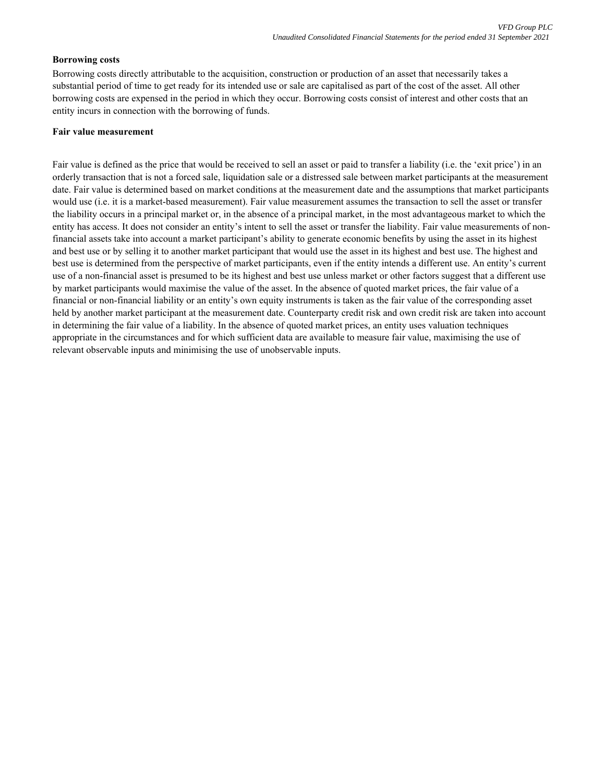# **Borrowing costs**

Borrowing costs directly attributable to the acquisition, construction or production of an asset that necessarily takes a substantial period of time to get ready for its intended use or sale are capitalised as part of the cost of the asset. All other borrowing costs are expensed in the period in which they occur. Borrowing costs consist of interest and other costs that an entity incurs in connection with the borrowing of funds.

#### **Fair value measurement**

Fair value is defined as the price that would be received to sell an asset or paid to transfer a liability (i.e. the 'exit price') in an orderly transaction that is not a forced sale, liquidation sale or a distressed sale between market participants at the measurement date. Fair value is determined based on market conditions at the measurement date and the assumptions that market participants would use (i.e. it is a market-based measurement). Fair value measurement assumes the transaction to sell the asset or transfer the liability occurs in a principal market or, in the absence of a principal market, in the most advantageous market to which the entity has access. It does not consider an entity's intent to sell the asset or transfer the liability. Fair value measurements of nonfinancial assets take into account a market participant's ability to generate economic benefits by using the asset in its highest and best use or by selling it to another market participant that would use the asset in its highest and best use. The highest and best use is determined from the perspective of market participants, even if the entity intends a different use. An entity's current use of a non-financial asset is presumed to be its highest and best use unless market or other factors suggest that a different use by market participants would maximise the value of the asset. In the absence of quoted market prices, the fair value of a financial or non-financial liability or an entity's own equity instruments is taken as the fair value of the corresponding asset held by another market participant at the measurement date. Counterparty credit risk and own credit risk are taken into account in determining the fair value of a liability. In the absence of quoted market prices, an entity uses valuation techniques appropriate in the circumstances and for which sufficient data are available to measure fair value, maximising the use of relevant observable inputs and minimising the use of unobservable inputs.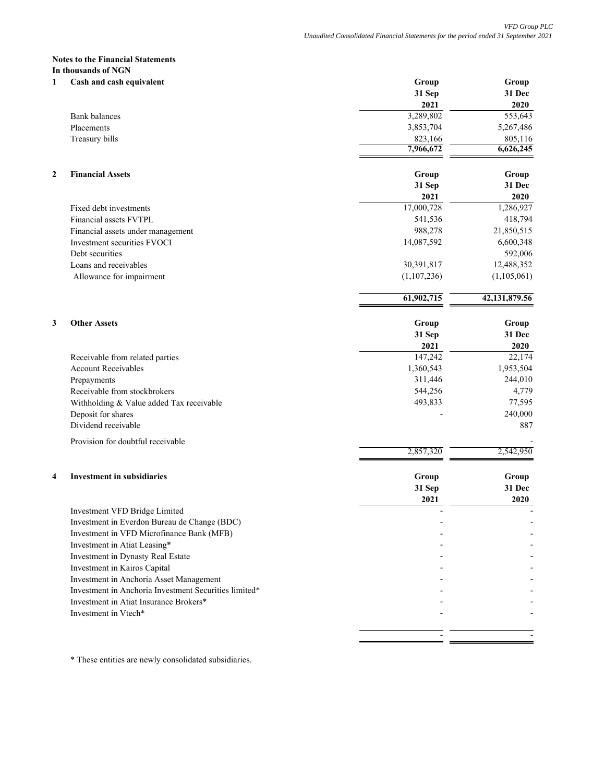#### **Notes to the Financial Statements In thousands of NGN**

| 1              | Cash and cash equivalent                              | Group       | Group         |
|----------------|-------------------------------------------------------|-------------|---------------|
|                |                                                       | 31 Sep      | 31 Dec        |
|                |                                                       | 2021        | 2020          |
|                | <b>Bank balances</b>                                  | 3,289,802   | 553,643       |
|                | Placements                                            | 3,853,704   | 5,267,486     |
|                | Treasury bills                                        | 823,166     | 805,116       |
|                |                                                       | 7,966,672   | 6,626,245     |
| $\overline{2}$ | <b>Financial Assets</b>                               | Group       | Group         |
|                |                                                       | 31 Sep      | 31 Dec        |
|                |                                                       | 2021        | 2020          |
|                | Fixed debt investments                                | 17,000,728  | 1,286,927     |
|                | Financial assets FVTPL                                | 541,536     | 418,794       |
|                | Financial assets under management                     | 988,278     | 21,850,515    |
|                | <b>Investment securities FVOCI</b>                    | 14,087,592  | 6,600,348     |
|                | Debt securities                                       |             | 592,006       |
|                | Loans and receivables                                 | 30,391,817  | 12,488,352    |
|                | Allowance for impairment                              | (1,107,236) | (1,105,061)   |
|                |                                                       | 61,902,715  | 42,131,879.56 |
|                |                                                       |             |               |
| 3              | <b>Other Assets</b>                                   | Group       | Group         |
|                |                                                       | 31 Sep      | 31 Dec        |
|                |                                                       | 2021        | 2020          |
|                | Receivable from related parties                       | 147,242     | 22,174        |
|                | <b>Account Receivables</b>                            | 1,360,543   | 1,953,504     |
|                | Prepayments                                           | 311,446     | 244,010       |
|                | Receivable from stockbrokers                          | 544,256     | 4,779         |
|                | Withholding & Value added Tax receivable              | 493,833     | 77,595        |
|                | Deposit for shares                                    |             | 240,000       |
|                | Dividend receivable                                   |             | 887           |
|                | Provision for doubtful receivable                     |             |               |
|                |                                                       | 2,857,320   | 2,542,950     |
| 4              | <b>Investment in subsidiaries</b>                     | Group       | Group         |
|                |                                                       | 31 Sep      | 31 Dec        |
|                |                                                       | 2021        | 2020          |
|                | Investment VFD Bridge Limited                         |             |               |
|                | Investment in Everdon Bureau de Change (BDC)          |             |               |
|                | Investment in VFD Microfinance Bank (MFB)             |             |               |
|                | Investment in Atiat Leasing*                          |             |               |
|                | Investment in Dynasty Real Estate                     |             |               |
|                | Investment in Kairos Capital                          |             |               |
|                | Investment in Anchoria Asset Management               |             |               |
|                | Investment in Anchoria Investment Securities limited* |             |               |
|                | Investment in Atiat Insurance Brokers*                |             |               |
|                | Investment in Vtech*                                  |             |               |
|                |                                                       |             |               |

\* These entities are newly consolidated subsidiaries.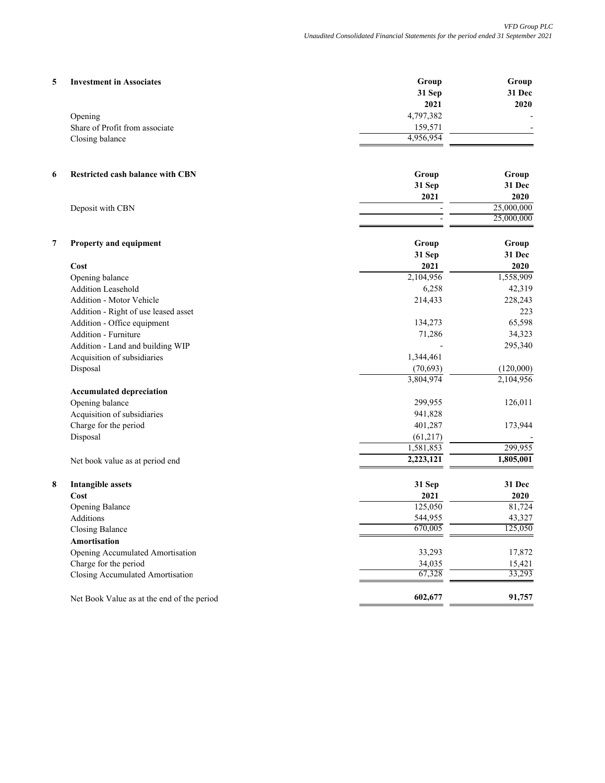| 5                             | <b>Investment in Associates</b>            | Group     | Group      |
|-------------------------------|--------------------------------------------|-----------|------------|
|                               |                                            | 31 Sep    | 31 Dec     |
|                               |                                            | 2021      | 2020       |
| Opening                       |                                            | 4,797,382 |            |
|                               | Share of Profit from associate             | 159,571   |            |
| Closing balance               |                                            | 4,956,954 |            |
|                               |                                            |           |            |
| 6                             | <b>Restricted cash balance with CBN</b>    | Group     | Group      |
|                               |                                            | 31 Sep    | 31 Dec     |
|                               |                                            | 2021      | 2020       |
| Deposit with CBN              |                                            |           | 25,000,000 |
|                               |                                            |           | 25,000,000 |
| 7                             | Property and equipment                     | Group     | Group      |
|                               |                                            | 31 Sep    | 31 Dec     |
| Cost                          |                                            | 2021      | 2020       |
| Opening balance               |                                            | 2,104,956 | 1,558,909  |
| <b>Addition Leasehold</b>     |                                            | 6,258     | 42,319     |
|                               | Addition - Motor Vehicle                   | 214,433   | 228,243    |
|                               | Addition - Right of use leased asset       |           | 223        |
|                               | Addition - Office equipment                | 134,273   | 65,598     |
| Addition - Furniture          |                                            | 71,286    | 34,323     |
|                               | Addition - Land and building WIP           |           | 295,340    |
|                               | Acquisition of subsidiaries                | 1,344,461 |            |
| Disposal                      |                                            | (70, 693) | (120,000)  |
|                               |                                            | 3,804,974 | 2,104,956  |
|                               | <b>Accumulated depreciation</b>            |           |            |
| Opening balance               |                                            | 299,955   | 126,011    |
|                               | Acquisition of subsidiaries                | 941,828   |            |
| Charge for the period         |                                            | 401,287   | 173,944    |
| Disposal                      |                                            | (61, 217) |            |
|                               |                                            | 1,581,853 | 299,955    |
|                               | Net book value as at period end            | 2,223,121 | 1,805,001  |
| 8<br><b>Intangible assets</b> |                                            | 31 Sep    | 31 Dec     |
| Cost                          |                                            | 2021      | 2020       |
| Opening Balance               |                                            | 125,050   | 81,724     |
| Additions                     |                                            | 544,955   | 43,327     |
| Closing Balance               |                                            | 670,005   | 125,050    |
| Amortisation                  |                                            |           |            |
|                               | Opening Accumulated Amortisation           | 33,293    | 17,872     |
| Charge for the period         |                                            | 34,035    | 15,421     |
|                               | Closing Accumulated Amortisation           | 67,328    | 33,293     |
|                               | Net Book Value as at the end of the period | 602,677   | 91,757     |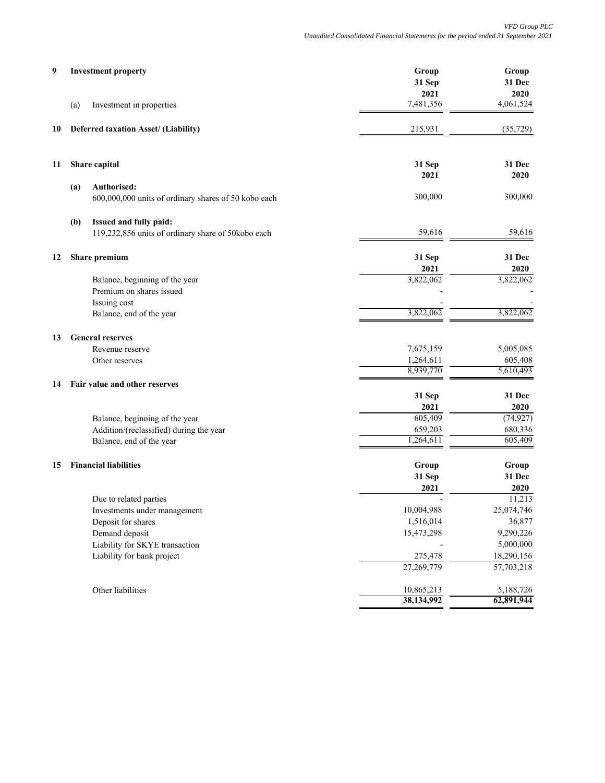| 9  | <b>Investment property</b>                                                 | Group<br>31 Sep<br>2021 | Group<br>31 Dec<br>2020 |
|----|----------------------------------------------------------------------------|-------------------------|-------------------------|
|    | (a)<br>Investment in properties                                            | 7,481,356               | 4,061,524               |
| 10 | Deferred taxation Asset/ (Liability)                                       | 215,931                 | (35, 729)               |
| 11 | Share capital                                                              | 31 Sep<br>2021          | 31 Dec<br>2020          |
|    | Authorised:<br>(a)<br>600,000,000 units of ordinary shares of 50 kobo each | 300,000                 | 300,000                 |
|    | Issued and fully paid:<br>(b)                                              |                         |                         |
|    | 119,232,856 units of ordinary share of 50kobo each                         | 59,616                  | 59,616                  |
| 12 | Share premium                                                              | 31 Sep<br>2021          | 31 Dec<br>2020          |
|    | Balance, beginning of the year                                             | 3,822,062               | 3,822,062               |
|    | Premium on shares issued<br>Issuing cost                                   |                         |                         |
|    | Balance, end of the year                                                   | 3,822,062               | 3,822,062               |
| 13 | <b>General reserves</b>                                                    |                         |                         |
|    | Revenue reserve                                                            | 7,675,159               | 5,005,085               |
|    | Other reserves                                                             | 1,264,611               | 605,408                 |
| 14 | Fair value and other reserves                                              | 8,939,770               | 5,610,493               |
|    |                                                                            | 31 Sep                  | 31 Dec                  |
|    |                                                                            | 2021                    | 2020                    |
|    | Balance, beginning of the year                                             | 605,409                 | (74, 927)               |
|    | Addition/(reclassified) during the year                                    | 659,203                 | 680,336                 |
|    | Balance, end of the year                                                   | 1,264,611               | 605,409                 |
| 15 | <b>Financial liabilities</b>                                               | Group                   | Group                   |
|    |                                                                            | 31 Sep                  | 31 Dec                  |
|    |                                                                            | 2021                    | 2020                    |
|    | Due to related parties                                                     |                         | 11,213                  |
|    | Investments under management                                               | 10,004,988              | 25,074,746              |
|    | Deposit for shares                                                         | 1,516,014               | 36,877                  |
|    | Demand deposit                                                             | 15,473,298              | 9,290,226               |
|    | Liability for SKYE transaction<br>Liability for bank project               | 275,478                 | 5,000,000<br>18,290,156 |
|    |                                                                            | 27,269,779              | 57,703,218              |
|    | Other liabilities                                                          | 10,865,213              | 5,188,726               |
|    |                                                                            | 38,134,992              | 62,891,944              |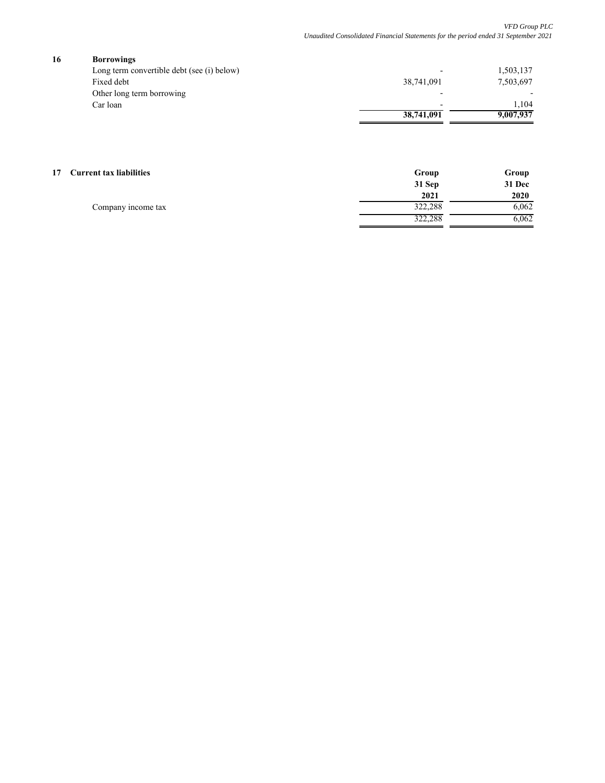# **16 Borrowings**

| <b>DULLUMINES</b>                          |            |           |
|--------------------------------------------|------------|-----------|
| Long term convertible debt (see (i) below) |            | 1,503,137 |
| Fixed debt                                 | 38,741,091 | 7,503,697 |
| Other long term borrowing                  |            |           |
| Car loan                                   |            | 1.04      |
|                                            | 38,741,091 | 9.007.937 |

#### **17 Current tax liabilities Group Group Group Group Group Group Group** Group Group Group

|                    | 31 Sep  | 31 Dec |
|--------------------|---------|--------|
|                    | 2021    | 2020   |
| Company income tax | 322,288 | 6,062  |
|                    | 322.288 | 6,062  |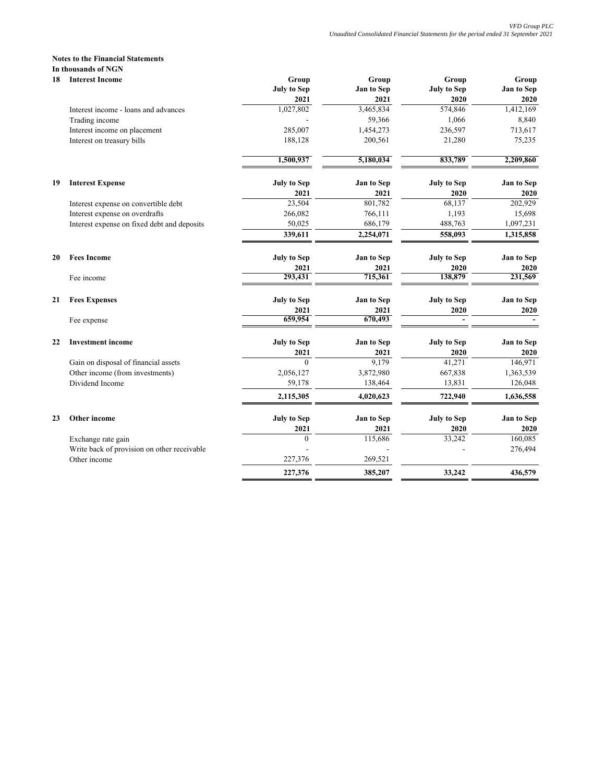#### **Notes to the Financial Statements In thousands of NGN**

| 18 | <b>Interest Income</b>                      | Group                      | Group              | Group                      | Group              |
|----|---------------------------------------------|----------------------------|--------------------|----------------------------|--------------------|
|    |                                             | <b>July to Sep</b><br>2021 | Jan to Sep<br>2021 | <b>July to Sep</b><br>2020 | Jan to Sep<br>2020 |
|    | Interest income - loans and advances        | 1,027,802                  | 3,465,834          | 574,846                    | 1,412,169          |
|    | Trading income                              |                            | 59,366             | 1,066                      | 8,840              |
|    | Interest income on placement                | 285,007                    | 1,454,273          | 236,597                    | 713,617            |
|    | Interest on treasury bills                  | 188,128                    | 200,561            | 21,280                     | 75,235             |
|    |                                             | 1,500,937                  | 5,180,034          | 833,789                    | 2,209,860          |
| 19 | <b>Interest Expense</b>                     | <b>July to Sep</b>         | Jan to Sep         | <b>July to Sep</b>         | Jan to Sep         |
|    |                                             | 2021                       | 2021               | 2020                       | 2020               |
|    | Interest expense on convertible debt        | 23,504                     | 801,782            | 68,137                     | 202,929            |
|    | Interest expense on overdrafts              | 266,082                    | 766,111            | 1,193                      | 15,698             |
|    | Interest expense on fixed debt and deposits | 50,025                     | 686,179            | 488,763                    | 1,097,231          |
|    |                                             | 339,611                    | 2,254,071          | 558,093                    | 1,315,858          |
| 20 | <b>Fees Income</b>                          | <b>July to Sep</b>         | Jan to Sep         | <b>July to Sep</b>         | Jan to Sep         |
|    |                                             | 2021                       | 2021               | 2020                       | 2020               |
|    | Fee income                                  | 293,431                    | 715,361            | 138,879                    | 231,569            |
| 21 | <b>Fees Expenses</b>                        | <b>July to Sep</b>         | Jan to Sep         | <b>July to Sep</b>         | Jan to Sep         |
|    |                                             | 2021                       | 2021               | 2020                       | 2020               |
|    | Fee expense                                 | 659,954                    | 670,493            |                            |                    |
| 22 | <b>Investment income</b>                    | <b>July to Sep</b>         | Jan to Sep         | <b>July to Sep</b>         | Jan to Sep         |
|    |                                             | 2021                       | 2021               | 2020                       | 2020               |
|    | Gain on disposal of financial assets        | $\theta$                   | 9,179              | 41,271                     | 146,971            |
|    | Other income (from investments)             | 2,056,127                  | 3,872,980          | 667,838                    | 1,363,539          |
|    | Dividend Income                             | 59,178                     | 138,464            | 13,831                     | 126,048            |
|    |                                             | 2,115,305                  | 4,020,623          | 722,940                    | 1,636,558          |
| 23 | Other income                                | <b>July to Sep</b>         | Jan to Sep         | <b>July to Sep</b>         | Jan to Sep         |
|    |                                             | 2021                       | 2021               | 2020                       | 2020               |
|    | Exchange rate gain                          | $\theta$                   | 115,686            | 33,242                     | 160,085            |
|    | Write back of provision on other receivable |                            |                    |                            | 276,494            |
|    | Other income                                | 227,376                    | 269,521            |                            |                    |
|    |                                             | 227,376                    | 385,207            | 33,242                     | 436,579            |